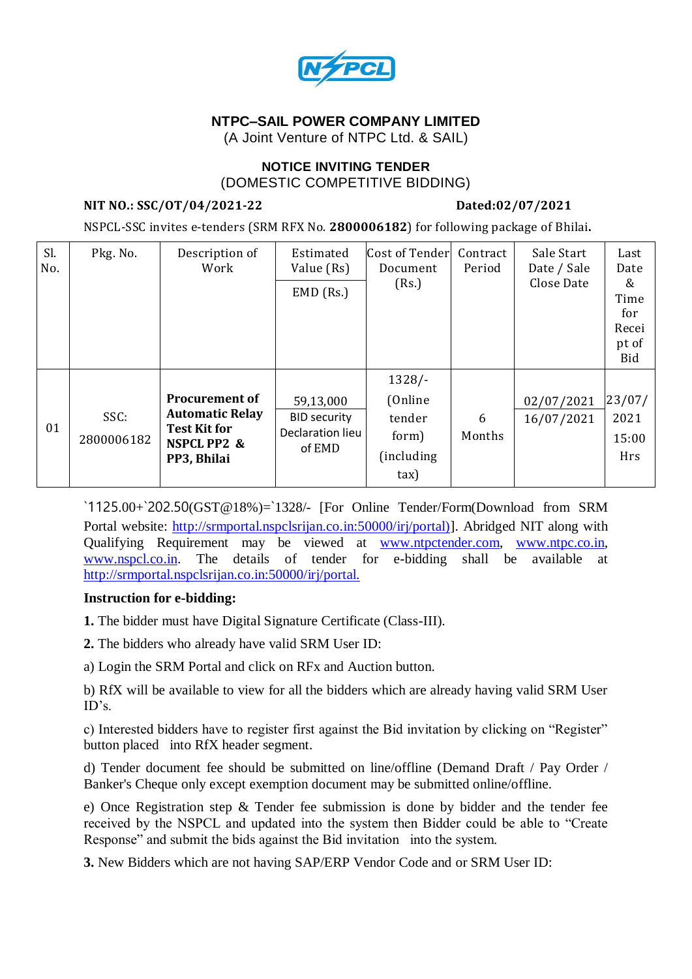

# **NTPC–SAIL POWER COMPANY LIMITED**

(A Joint Venture of NTPC Ltd. & SAIL)

### **NOTICE INVITING TENDER** (DOMESTIC COMPETITIVE BIDDING)

### **NIT NO.: SSC/OT/04/2021-22 Dated:02/07/2021**

NSPCL-SSC invites e-tenders (SRM RFX No. **2800006182**) for following package of Bhilai**.**

| Sl.<br>No. | Pkg. No.           | Description of<br>Work                                                                               | Estimated<br>Value (Rs)                                        | Cost of Tender<br>Document                           | Contract<br>Period | Sale Start<br>Date / Sale | Last<br>Date                                     |
|------------|--------------------|------------------------------------------------------------------------------------------------------|----------------------------------------------------------------|------------------------------------------------------|--------------------|---------------------------|--------------------------------------------------|
|            |                    |                                                                                                      | $EMD$ (Rs.)                                                    | (Rs.)                                                |                    | Close Date                | &<br>Time<br>for<br>Recei<br>pt of<br><b>Bid</b> |
| 01         | SSC:<br>2800006182 | <b>Procurement of</b><br><b>Automatic Relay</b><br><b>Test Kit for</b><br>NSPCL PP2 &<br>PP3, Bhilai | 59,13,000<br><b>BID security</b><br>Declaration lieu<br>of EMD | $1328/-$<br>(Online<br>tender<br>form)<br>(including | 6<br>Months        | 02/07/2021<br>16/07/2021  | 23/07/<br>2021<br>15:00<br>Hrs                   |
|            |                    |                                                                                                      |                                                                | $\text{tax}$                                         |                    |                           |                                                  |

`1125.00+`202.50(GST@18%)=`1328/- [For Online Tender/Form(Download from SRM Portal website: [http://srmportal.nspclsrijan.co.in:50000/irj/portal\)\]](http://srmportal.nspclsrijan.co.in:50000/irj/portal)). Abridged NIT along with Qualifying Requirement may be viewed at [www.ntpctender.com,](http://www.ntpctender.com/) [www.ntpc.co.in,](http://www.ntpc.co.in/) [www.nspcl.co.in.](http://www.nspcl.co.in/) The details of tender for e-bidding shall be available at <http://srmportal.nspclsrijan.co.in:50000/irj/portal.>

## **Instruction for e-bidding:**

**1.** The bidder must have Digital Signature Certificate (Class-III).

**2.** The bidders who already have valid SRM User ID:

a) Login the SRM Portal and click on RFx and Auction button.

b) RfX will be available to view for all the bidders which are already having valid SRM User ID's.

c) Interested bidders have to register first against the Bid invitation by clicking on "Register" button placed into RfX header segment.

d) Tender document fee should be submitted on line/offline (Demand Draft / Pay Order / Banker's Cheque only except exemption document may be submitted online/offline.

e) Once Registration step & Tender fee submission is done by bidder and the tender fee received by the NSPCL and updated into the system then Bidder could be able to "Create Response" and submit the bids against the Bid invitation into the system.

**3.** New Bidders which are not having SAP/ERP Vendor Code and or SRM User ID: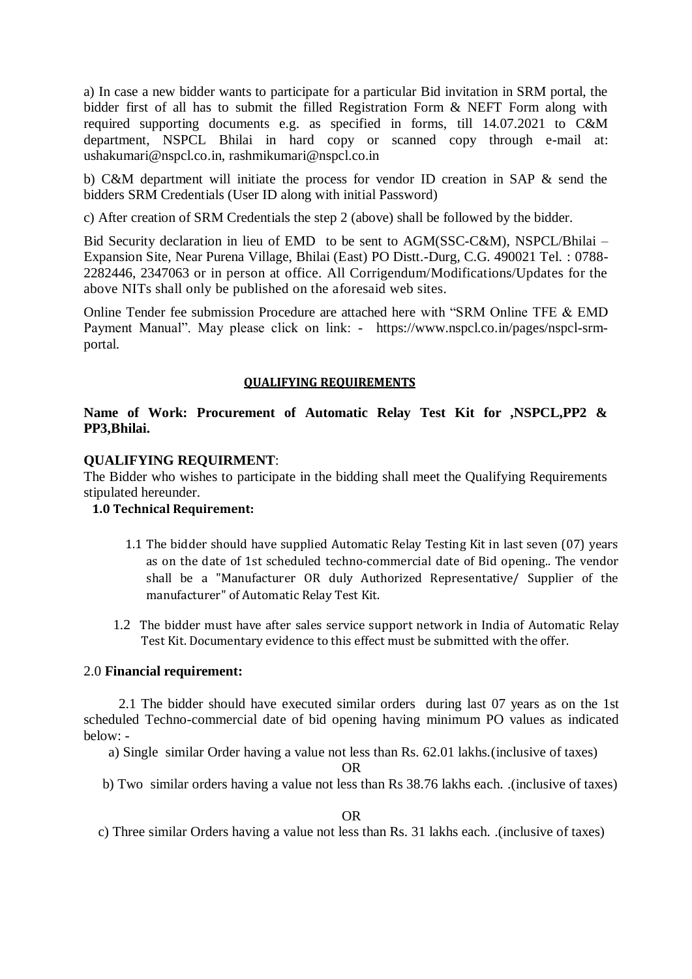a) In case a new bidder wants to participate for a particular Bid invitation in SRM portal, the bidder first of all has to submit the filled Registration Form & NEFT Form along with required supporting documents e.g. as specified in forms, till 14.07.2021 to C&M department, NSPCL Bhilai in hard copy or scanned copy through e-mail at: ushakumari@nspcl.co.in, rashmikumari@nspcl.co.in

b) C&M department will initiate the process for vendor ID creation in SAP & send the bidders SRM Credentials (User ID along with initial Password)

c) After creation of SRM Credentials the step 2 (above) shall be followed by the bidder.

Bid Security declaration in lieu of EMD to be sent to AGM(SSC-C&M), NSPCL/Bhilai – Expansion Site, Near Purena Village, Bhilai (East) PO Distt.-Durg, C.G. 490021 Tel. : 0788- 2282446, 2347063 or in person at office. All Corrigendum/Modifications/Updates for the above NITs shall only be published on the aforesaid web sites.

Online Tender fee submission Procedure are attached here with "SRM Online TFE & EMD Payment Manual". May please click on link: - https://www.nspcl.co.in/pages/nspcl-srmportal.

### **QUALIFYING REQUIREMENTS**

## **Name of Work: Procurement of Automatic Relay Test Kit for ,NSPCL,PP2 & PP3,Bhilai.**

#### **QUALIFYING REQUIRMENT**:

The Bidder who wishes to participate in the bidding shall meet the Qualifying Requirements stipulated hereunder.

## **1.0 Technical Requirement:**

- 1.1 The bidder should have supplied Automatic Relay Testing Kit in last seven (07) years as on the date of 1st scheduled techno-commercial date of Bid opening.. The vendor shall be a "Manufacturer OR duly Authorized Representative/ Supplier of the manufacturer" of Automatic Relay Test Kit.
- 1.2 The bidder must have after sales service support network in India of Automatic Relay Test Kit. Documentary evidence to this effect must be submitted with the offer.

#### 2.0 **Financial requirement:**

 2.1 The bidder should have executed similar orders during last 07 years as on the 1st scheduled Techno-commercial date of bid opening having minimum PO values as indicated below: -

a) Single similar Order having a value not less than Rs. 62.01 lakhs.(inclusive of taxes)

OR

b) Two similar orders having a value not less than Rs 38.76 lakhs each. .(inclusive of taxes)

OR

c) Three similar Orders having a value not less than Rs. 31 lakhs each. .(inclusive of taxes)